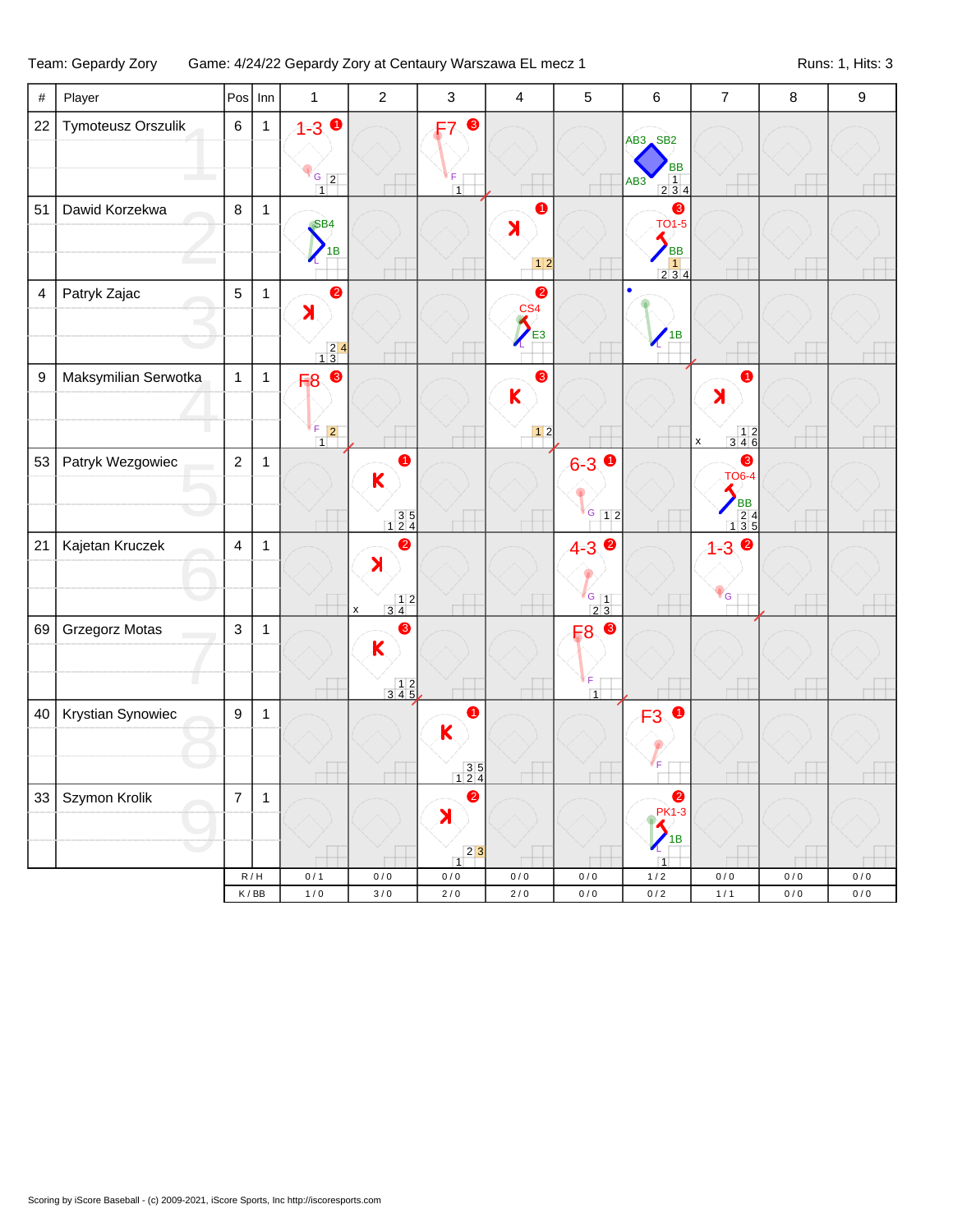## Team: Gepardy Zory Game: 4/24/22 Gepardy Zory at Centaury Warszawa EL mecz 1 Runs: 1, Hits: 3

| #                | Player               | Pos              | Inn          | $\mathbf{1}$                                                      | $\overline{2}$                                                                                          | $\sqrt{3}$                                                                 | $\overline{4}$                                        | 5                                      | $\,6\,$                                                                                                              | $\overline{7}$                                                             | $\bf 8$            | $\boldsymbol{9}$ |
|------------------|----------------------|------------------|--------------|-------------------------------------------------------------------|---------------------------------------------------------------------------------------------------------|----------------------------------------------------------------------------|-------------------------------------------------------|----------------------------------------|----------------------------------------------------------------------------------------------------------------------|----------------------------------------------------------------------------|--------------------|------------------|
| 22               | Tymoteusz Orszulik   | $\,6\,$          | 1            | $1 - 3$<br>$G_{2}$<br>$\overline{1}$                              |                                                                                                         | ❸<br>F7<br>F<br>$\overline{1}$                                             |                                                       |                                        | AB3 SB2<br><b>BB</b><br>$\begin{array}{ c c c }\n\hline\n1 & 4 \\ \hline\n2 & 3 & 4\n\end{array}$<br>AB <sub>3</sub> |                                                                            |                    |                  |
| 51               | Dawid Korzekwa       | 8                | 1            | SB4<br>1B                                                         |                                                                                                         |                                                                            | $\bullet$<br>$\blacktriangleright$<br>$12$            |                                        | ❸<br><b>TO1-5</b><br><b>BB</b><br>$\begin{array}{c} 1 \\ 2 \ 3 \ 4 \end{array}$                                      |                                                                            |                    |                  |
| 4                | Patryk Zajac         | $\sqrt{5}$       | $\mathbf{1}$ | $\bullet$<br>$\lambda$<br>$\begin{array}{r} 24 \\ 13 \end{array}$ |                                                                                                         |                                                                            | $\bullet$<br>$\frac{\text{CS4}}{4}$<br>E <sub>3</sub> |                                        | $^{\prime}$ <sub>1</sub> B                                                                                           |                                                                            |                    |                  |
| $\boldsymbol{9}$ | Maksymilian Serwotka | $\mathbf{1}$     | $\mathbf{1}$ | F8 8<br>ľF<br>$\boxed{2}$<br>$\overline{1}$                       |                                                                                                         |                                                                            | ❸<br>$\mathsf K$<br>$12$                              |                                        |                                                                                                                      | $\lambda$<br>$\begin{array}{c} 12 \\ 346 \end{array}$<br>X                 |                    |                  |
| 53               | Patryk Wezgowiec     | $\sqrt{2}$       | $\mathbf{1}$ |                                                                   | ➊<br>$\overline{\mathsf{K}}$<br>$\begin{array}{c} 3 & 5 \\ 1 & 2 & 4 \end{array}$                       |                                                                            |                                                       | $6 - 3$ 0<br>$G$ 12                    |                                                                                                                      | ❸<br><b>TO6-4</b><br><b>BB</b><br>$\begin{array}{r} 24 \\ 135 \end{array}$ |                    |                  |
| 21               | Kajetan Kruczek      | $\overline{4}$   | $\mathbf{1}$ |                                                                   | ❷<br>$\blacktriangleright$<br>$\begin{array}{c c} & 1 & 2 \\ 3 & 4 & \end{array}$<br>$\pmb{\mathsf{x}}$ |                                                                            |                                                       | $4 - 3$<br>$\frac{6}{2}$ $\frac{1}{3}$ |                                                                                                                      | $1 - 3$ $\bullet$<br>$P_{G}$                                               |                    |                  |
| 69               | Grzegorz Motas       | $\mathsf 3$      | 1            |                                                                   | ❸<br>$\mathsf K$<br>$\begin{array}{c} 12 \\ 345 \end{array}$                                            |                                                                            |                                                       | F8 <sup>©</sup><br>F<br>$\overline{1}$ |                                                                                                                      |                                                                            |                    |                  |
| 40               | Krystian Synowiec    | $\boldsymbol{9}$ | 1            |                                                                   |                                                                                                         | $\bullet$<br>K<br>$\begin{array}{r} 35 \\ 124 \end{array}$                 |                                                       |                                        | $\bullet$<br>F <sub>3</sub>                                                                                          |                                                                            |                    |                  |
|                  | 33 Szymon Krolik     | $\boldsymbol{7}$ | 1            |                                                                   |                                                                                                         | $\bullet$<br>X<br>$\begin{array}{c c} & 2 & 3 \\ \hline 1 & & \end{array}$ |                                                       |                                        | $\bullet$<br><b>PK1-3</b><br>1B<br>$\overline{1}$                                                                    |                                                                            |                    |                  |
|                  |                      |                  | R/H<br>K/BB  | 0/1<br>$1/0$                                                      | $0/0$<br>$3/0$                                                                                          | $0/0$<br>$2\,/\,0$                                                         | 0/0<br>2/0                                            | $0/0$<br>$0/0$                         | $1/2$<br>0/2                                                                                                         | $0/0$<br>$1/1$                                                             | $0/0$<br>$0\,/\,0$ | $0/0$<br>$0/0$   |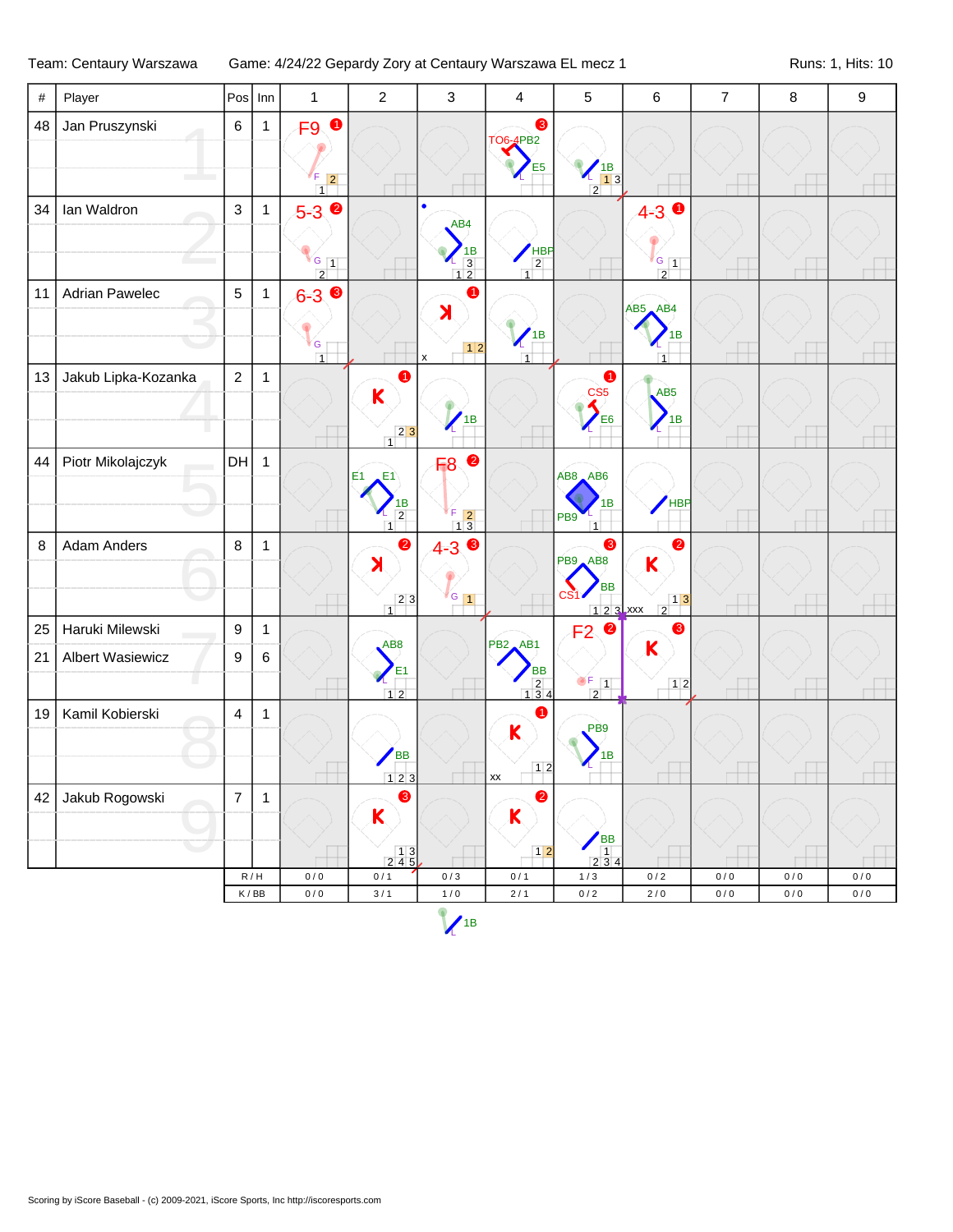Team: Centaury Warszawa Game: 4/24/22 Gepardy Zory at Centaury Warszawa EL mecz 1 Runs: 1, Hits: 10

| #      | Player              |                  | $Pos$ Inn    | $\mathbf{1}$                                | $\overline{2}$                                                                          | $\mathfrak{S}$                                                                            | 4                                                                        | $\sqrt{5}$                                                  | 6                                                                                 | $\overline{7}$ | $\bf 8$   | $\boldsymbol{9}$ |
|--------|---------------------|------------------|--------------|---------------------------------------------|-----------------------------------------------------------------------------------------|-------------------------------------------------------------------------------------------|--------------------------------------------------------------------------|-------------------------------------------------------------|-----------------------------------------------------------------------------------|----------------|-----------|------------------|
| 48     | Jan Pruszynski      | $\,6\,$          | 1            | F9 <sup>O</sup><br>F<br>$\vert$ 2<br>$\Box$ |                                                                                         |                                                                                           | ❸<br><b>TO6-4PB2</b><br>E <sub>5</sub>                                   | $\begin{array}{c}\n 1B \\  13 \\  \hline\n 2\n \end{array}$ |                                                                                   |                |           |                  |
| 34     | Ian Waldron         | $\mathbf{3}$     | $\mathbf{1}$ | $5-3$<br>$G_{1}$<br>$\overline{2}$          |                                                                                         | $\bullet$<br>AB4<br>$\begin{array}{r} \n 1B \\  \hline\n 3 \\  \hline\n 12\n \end{array}$ | $\frac{1}{2}$<br>$\overline{1}$                                          |                                                             | $4-3$ 0<br>$\sqrt{G}$ 1<br>$\overline{2}$                                         | $\Box$         | $\Box$    |                  |
| 11     | Adrian Pawelec      | $\overline{5}$   | $\mathbf{1}$ | $6-3$ $\bullet$<br>G<br>$\overline{1}$      |                                                                                         | $\bullet$<br>$\overline{\mathbf{X}}$<br>$\pmb{\mathsf{x}}$                                | $^{\prime}$ <sub>1</sub> B<br>$\overline{1}$                             |                                                             | AB5 AB4<br>1В<br>$\overline{1}$                                                   |                |           |                  |
| 13     | Jakub Lipka-Kozanka | $\overline{2}$   | $\mathbf{1}$ |                                             | 0<br>K<br>$23$<br>$\overline{1}$                                                        | 1B                                                                                        |                                                                          | ➊<br>CS <sub>5</sub><br>E6                                  | AB5<br>1B                                                                         |                |           |                  |
| 44     | Piotr Mikolajczyk   | DH               | $\mathbf{1}$ |                                             | E1<br>E1<br>$\frac{1B}{2}$<br>$\mathbf{I}$                                              | $\bullet$<br>F <sub>8</sub><br>F.<br>$\begin{array}{c} 5 \ 1 \ 3 \end{array}$             |                                                                          | AB8 AB6<br>1В<br>PB <sub>9</sub><br>$\overline{1}$          | HBP                                                                               |                |           |                  |
| $\, 8$ | Adam Anders         | 8                | $\mathbf{1}$ |                                             | $\bullet$<br>$\blacktriangleright$<br>$\begin{array}{c c} & 2 & 3 \\ 1 & & \end{array}$ | $4 - 3$<br>$\frac{1}{6}$                                                                  |                                                                          | ❸<br>PB9 AB8<br><b>BB</b><br>$123$ xxx                      | 0<br>$\mathsf{K}$<br>$\begin{array}{ c c }\n\hline\n1 & 3 \\ \hline\n\end{array}$ | $\Box$         |           |                  |
| 25     | Haruki Milewski     | $\boldsymbol{9}$ | $\mathbf{1}$ |                                             |                                                                                         |                                                                                           |                                                                          | $F2$ <sup>O</sup>                                           | ❸                                                                                 |                |           |                  |
| 21     | Albert Wasiewicz    | 9                | $\,6\,$      | ⊤                                           | AB <sub>8</sub><br>E1<br>12                                                             |                                                                                           | PB <sub>2</sub> AB1<br>BB<br>$\begin{array}{c}\n 2 \\  134\n\end{array}$ | $\begin{array}{c c}\n\bullet & 1 \\ \hline\n2\n\end{array}$ | $\overline{\mathsf{K}}$<br>12                                                     |                |           |                  |
| 19     | Kamil Kobierski     | $\overline{4}$   | $\mathbf{1}$ |                                             | <b>BB</b><br>123                                                                        |                                                                                           | 0<br>$\mathsf K$<br>12<br>XХ                                             | PB <sub>9</sub><br>1B                                       |                                                                                   |                |           |                  |
| 42     | Jakub Rogowski      | $\overline{7}$   | $\mathbf{1}$ |                                             | 8<br>K<br>$\begin{array}{c} 13 \\ 245 \end{array}$                                      |                                                                                           | $\bullet$<br>K<br>$12$                                                   | <b>BB</b><br>$\overline{1}$<br>2 3 4                        |                                                                                   |                |           |                  |
|        |                     |                  | R/H          | 0/0                                         | 0/1                                                                                     | $0/3$                                                                                     | 0/1                                                                      | 1/3                                                         | 0/2                                                                               | 0/0            | $0\,/\,0$ | $0/0$            |
|        |                     |                  | K/BB         | $0/0$                                       | $3/1$                                                                                   | $1/0$                                                                                     | $2\,/\,1$                                                                | $0\,/\,2$                                                   | $2\,/\,0$                                                                         | $0\,/\,0$      | $0\,/\,0$ | $0\,/\,0$        |
|        |                     |                  |              |                                             |                                                                                         | $\sqrt{1B}$                                                                               |                                                                          |                                                             |                                                                                   |                |           |                  |